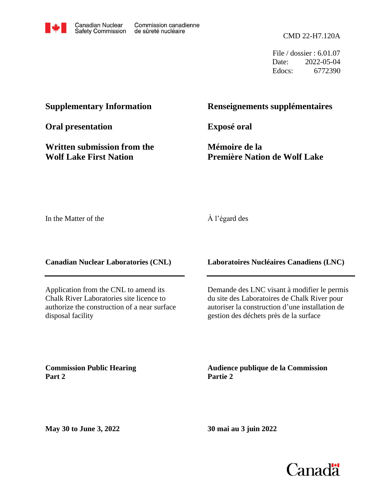

File / dossier : 6.01.07 Date: 2022-05-04 Edocs: 6772390

# **Supplementary Information**

**Oral presentation**

**Written submission from the Wolf Lake First Nation**

# **Renseignements supplémentaires**

**Exposé oral**

**Mémoire de la Première Nation de Wolf Lake**

In the Matter of the

#### À l'égard des

**Canadian Nuclear Laboratories (CNL)**

Application from the CNL to amend its Chalk River Laboratories site licence to authorize the construction of a near surface disposal facility

**Commission Public Hearing Part 2**

**Laboratoires Nucléaires Canadiens (LNC)**

Demande des LNC visant à modifier le permis du site des Laboratoires de Chalk River pour autoriser la construction d'une installation de gestion des déchets près de la surface

**Audience publique de la Commission Partie 2**

**May 30 to June 3, 2022**

**30 mai au 3 juin 2022**

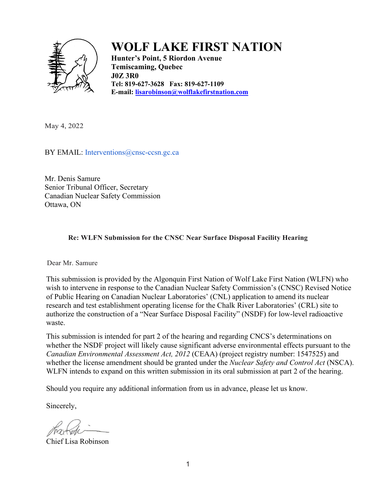

# **WOLF LAKE FIRST NATION**

**Hunter's Point, 5 Riordon Avenue Temiscaming, Quebec J0Z 3R0 Tel: 819-627-3628 Fax: 819-627-1109 E-mail: [lisarobinson@wolflakefirstnation.com](mailto:lisarobinson@wolflakefirstnation.com)**

May 4, 2022

BY EMAIL: Interventions@cnsc-ccsn.gc.ca

 Mr. Denis Samure Senior Tribunal Officer, Secretary Canadian Nuclear Safety Commission Ottawa, ON

#### **Re: WLFN Submission for the CNSC Near Surface Disposal Facility Hearing**

Dear Mr. Samure

This submission is provided by the Algonquin First Nation of Wolf Lake First Nation (WLFN) who wish to intervene in response to the Canadian Nuclear Safety Commission's (CNSC) Revised Notice of Public Hearing on Canadian Nuclear Laboratories' (CNL) application to amend its nuclear research and test establishment operating license for the Chalk River Laboratories' (CRL) site to authorize the construction of a "Near Surface Disposal Facility" (NSDF) for low-level radioactive waste.

This submission is intended for part 2 of the hearing and regarding CNCS's determinations on whether the NSDF project will likely cause significant adverse environmental effects pursuant to the *Canadian Environmental Assessment Act, 2012* (CEAA) (project registry number: 1547525) and whether the license amendment should be granted under the *Nuclear Safety and Control Act* (NSCA). WLFN intends to expand on this written submission in its oral submission at part 2 of the hearing.

Should you require any additional information from us in advance, please let us know.

Sincerely,

Chief Lisa Robinson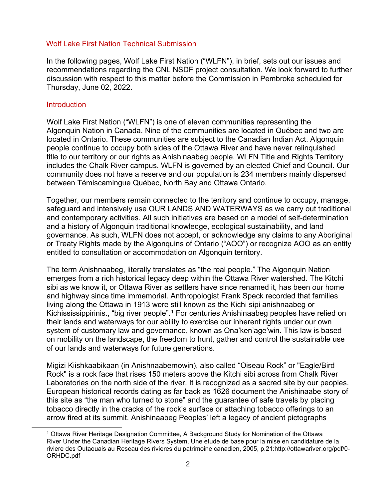#### Wolf Lake First Nation Technical Submission

In the following pages, Wolf Lake First Nation ("WLFN"), in brief, sets out our issues and recommendations regarding the CNL NSDF project consultation. We look forward to further discussion with respect to this matter before the Commission in Pembroke scheduled for Thursday, June 02, 2022.

#### **Introduction**

Wolf Lake First Nation ("WLFN") is one of eleven communities representing the Algonquin Nation in Canada. Nine of the communities are located in Québec and two are located in Ontario. These communities are subject to the Canadian Indian Act. Algonquin people continue to occupy both sides of the Ottawa River and have never relinquished title to our territory or our rights as Anishinaabeg people. WLFN Title and Rights Territory includes the Chalk River campus. WLFN is governed by an elected Chief and Council. Our community does not have a reserve and our population is 234 members mainly dispersed between Témiscamingue Québec, North Bay and Ottawa Ontario.

Together, our members remain connected to the territory and continue to occupy, manage, safeguard and intensively use OUR LANDS AND WATERWAYS as we carry out traditional and contemporary activities. All such initiatives are based on a model of self-determination and a history of Algonquin traditional knowledge, ecological sustainability, and land governance. As such, WLFN does not accept, or acknowledge any claims to any Aboriginal or Treaty Rights made by the Algonquins of Ontario ("AOO") or recognize AOO as an entity entitled to consultation or accommodation on Algonquin territory.

The term Anishnaabeg, literally translates as "the real people." The Algonquin Nation emerges from a rich historical legacy deep within the Ottawa River watershed. The Kitchi sibi as we know it, or Ottawa River as settlers have since renamed it, has been our home and highway since time immemorial. Anthropologist Frank Speck recorded that families living along the Ottawa in 1913 were still known as the Kichi sipi anishnaabeg or Kichississippirinis., "big river people".<sup>[1](#page-2-0)</sup> For centuries Anishinaabeg peoples have relied on their lands and waterways for our ability to exercise our inherent rights under our own system of customary law and governance, known as Ona'ken'age'win. This law is based on mobility on the landscape, the freedom to hunt, gather and control the sustainable use of our lands and waterways for future generations.

Migizi Kiishkaabikaan (in Anishnaabemowin), also called "Oiseau Rock" or "Eagle/Bird Rock" is a rock face that rises 150 meters above the Kitchi sibi across from Chalk River Laboratories on the north side of the river. It is recognized as a sacred site by our peoples. European historical records dating as far back as 1626 document the Anishinaabe story of this site as "the man who turned to stone" and the guarantee of safe travels by placing tobacco directly in the cracks of the rock's surface or attaching tobacco offerings to an arrow fired at its summit. Anishinaabeg Peoples' left a legacy of ancient pictographs

<span id="page-2-0"></span><sup>1</sup> Ottawa River Heritage Designation Committee, A Background Study for Nomination of the Ottawa River Under the Canadian Heritage Rivers System, Une etude de base pour la mise en candidature de la riviere des Outaouais au Reseau des rivieres du patrimoine canadien, 2005, p.21:http://ottawariver.org/pdf/0- ORHDC.pdf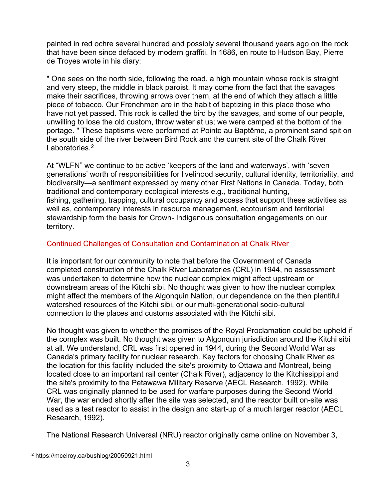painted in red ochre several hundred and possibly several thousand years ago on the rock that have been since defaced by modern graffiti. In 1686, en route to Hudson Bay, Pierre de Troyes wrote in his diary:

" One sees on the north side, following the road, a high mountain whose rock is straight and very steep, the middle in black paroist. It may come from the fact that the savages make their sacrifices, throwing arrows over them, at the end of which they attach a little piece of tobacco. Our Frenchmen are in the habit of baptizing in this place those who have not yet passed. This rock is called the bird by the savages, and some of our people, unwilling to lose the old custom, throw water at us; we were camped at the bottom of the portage. " These baptisms were performed at Pointe au Baptême, a prominent sand spit on the south side of the river between Bird Rock and the current site of the Chalk River Laboratories.<sup>2</sup>

At "WLFN" we continue to be active 'keepers of the land and waterways', with 'seven generations' worth of responsibilities for livelihood security, cultural identity, territoriality, and biodiversity—a sentiment expressed by many other First Nations in Canada. Today, both traditional and contemporary ecological interests e.g., traditional hunting, fishing, gathering, trapping, cultural occupancy and access that support these activities as well as, contemporary interests in resource management, ecotourism and territorial stewardship form the basis for Crown- Indigenous consultation engagements on our territory.

# Continued Challenges of Consultation and Contamination at Chalk River

It is important for our community to note that before the Government of Canada completed construction of the Chalk River Laboratories (CRL) in 1944, no assessment was undertaken to determine how the nuclear complex might affect upstream or downstream areas of the Kitchi sibi. No thought was given to how the nuclear complex might affect the members of the Algonquin Nation, our dependence on the then plentiful watershed resources of the Kitchi sibi, or our multi-generational socio-cultural connection to the places and customs associated with the Kitchi sibi.

No thought was given to whether the promises of the Royal Proclamation could be upheld if the complex was built. No thought was given to Algonquin jurisdiction around the Kitchi sibi at all. We understand, CRL was first opened in 1944, during the Second World War as Canada's primary facility for nuclear research. Key factors for choosing Chalk River as the location for this facility included the site's proximity to Ottawa and Montreal, being located close to an important rail center (Chalk River), adjacency to the Kitchissippi and the site's proximity to the Petawawa Military Reserve (AECL Research, 1992). While CRL was originally planned to be used for warfare purposes during the Second World War, the war ended shortly after the site was selected, and the reactor built on-site was used as a test reactor to assist in the design and start-up of a much larger reactor (AECL Research, 1992).

The National Research Universal (NRU) reactor originally came online on November 3,

<span id="page-3-0"></span><sup>2</sup> https://mcelroy.ca/bushlog/20050921.html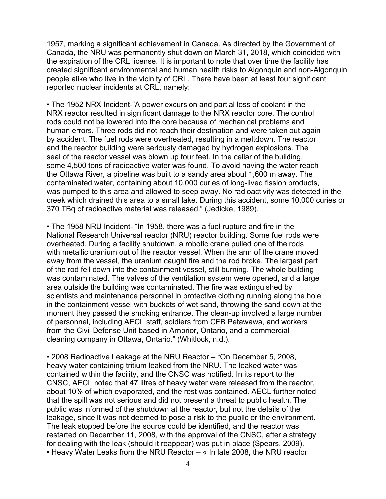1957, marking a significant achievement in Canada. As directed by the Government of Canada, the NRU was permanently shut down on March 31, 2018, which coincided with the expiration of the CRL license. It is important to note that over time the facility has created significant environmental and human health risks to Algonquin and non-Algonquin people alike who live in the vicinity of CRL. There have been at least four significant reported nuclear incidents at CRL, namely:

• The 1952 NRX Incident-"A power excursion and partial loss of coolant in the NRX reactor resulted in significant damage to the NRX reactor core. The control rods could not be lowered into the core because of mechanical problems and human errors. Three rods did not reach their destination and were taken out again by accident. The fuel rods were overheated, resulting in a meltdown. The reactor and the reactor building were seriously damaged by hydrogen explosions. The seal of the reactor vessel was blown up four feet. In the cellar of the building, some 4,500 tons of radioactive water was found. To avoid having the water reach the Ottawa River, a pipeline was built to a sandy area about 1,600 m away. The contaminated water, containing about 10,000 curies of long-lived fission products, was pumped to this area and allowed to seep away. No radioactivity was detected in the creek which drained this area to a small lake. During this accident, some 10,000 curies or 370 TBq of radioactive material was released." (Jedicke, 1989).

• The 1958 NRU Incident- "In 1958, there was a fuel rupture and fire in the National Research Universal reactor (NRU) reactor building. Some fuel rods were overheated. During a facility shutdown, a robotic crane pulled one of the rods with metallic uranium out of the reactor vessel. When the arm of the crane moved away from the vessel, the uranium caught fire and the rod broke. The largest part of the rod fell down into the containment vessel, still burning. The whole building was contaminated. The valves of the ventilation system were opened, and a large area outside the building was contaminated. The fire was extinguished by scientists and maintenance personnel in protective clothing running along the hole in the containment vessel with buckets of wet sand, throwing the sand down at the moment they passed the smoking entrance. The clean-up involved a large number of personnel, including AECL staff, soldiers from CFB Petawawa, and workers from the Civil Defense Unit based in Arnprior, Ontario, and a commercial cleaning company in Ottawa, Ontario." (Whitlock, n.d.).

• 2008 Radioactive Leakage at the NRU Reactor – "On December 5, 2008, heavy water containing tritium leaked from the NRU. The leaked water was contained within the facility, and the CNSC was notified. In its report to the CNSC, AECL noted that 47 litres of heavy water were released from the reactor, about 10% of which evaporated, and the rest was contained. AECL further noted that the spill was not serious and did not present a threat to public health. The public was informed of the shutdown at the reactor, but not the details of the leakage, since it was not deemed to pose a risk to the public or the environment. The leak stopped before the source could be identified, and the reactor was restarted on December 11, 2008, with the approval of the CNSC, after a strategy for dealing with the leak (should it reappear) was put in place (Spears, 2009). • Heavy Water Leaks from the NRU Reactor – « In late 2008, the NRU reactor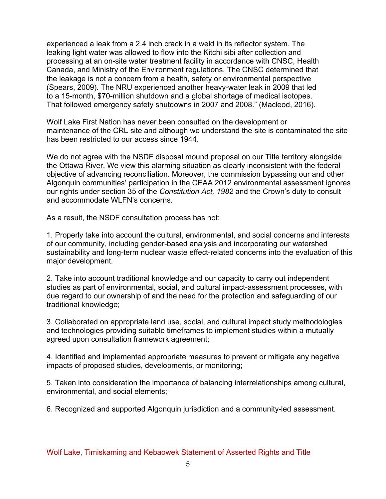experienced a leak from a 2.4 inch crack in a weld in its reflector system. The leaking light water was allowed to flow into the Kitchi sibi after collection and processing at an on-site water treatment facility in accordance with CNSC, Health Canada, and Ministry of the Environment regulations. The CNSC determined that the leakage is not a concern from a health, safety or environmental perspective (Spears, 2009). The NRU experienced another heavy-water leak in 2009 that led to a 15-month, \$70-million shutdown and a global shortage of medical isotopes. That followed emergency safety shutdowns in 2007 and 2008." (Macleod, 2016).

Wolf Lake First Nation has never been consulted on the development or maintenance of the CRL site and although we understand the site is contaminated the site has been restricted to our access since 1944.

We do not agree with the NSDF disposal mound proposal on our Title territory alongside the Ottawa River. We view this alarming situation as clearly inconsistent with the federal objective of advancing reconciliation. Moreover, the commission bypassing our and other Algonquin communities' participation in the CEAA 2012 environmental assessment ignores our rights under section 35 of the *Constitution Act, 1982* and the Crown's duty to consult and accommodate WI FN's concerns.

As a result, the NSDF consultation process has not:

1. Properly take into account the cultural, environmental, and social concerns and interests of our community, including gender-based analysis and incorporating our watershed sustainability and long-term nuclear waste effect-related concerns into the evaluation of this major development.

2. Take into account traditional knowledge and our capacity to carry out independent studies as part of environmental, social, and cultural impact-assessment processes, with due regard to our ownership of and the need for the protection and safeguarding of our traditional knowledge;

3. Collaborated on appropriate land use, social, and cultural impact study methodologies and technologies providing suitable timeframes to implement studies within a mutually agreed upon consultation framework agreement;

4. Identified and implemented appropriate measures to prevent or mitigate any negative impacts of proposed studies, developments, or monitoring;

5. Taken into consideration the importance of balancing interrelationships among cultural, environmental, and social elements;

6. Recognized and supported Algonquin jurisdiction and a community-led assessment.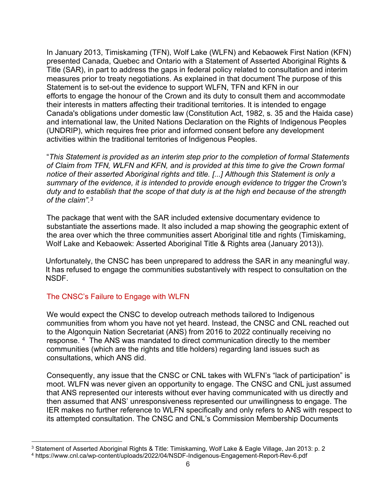In January 2013, Timiskaming (TFN), Wolf Lake (WLFN) and Kebaowek First Nation (KFN) presented Canada, Quebec and Ontario with a Statement of Asserted Aboriginal Rights & Title (SAR), in part to address the gaps in federal policy related to consultation and interim measures prior to treaty negotiations. As explained in that document The purpose of this Statement is to set-out the evidence to support WLFN, TFN and KFN in our efforts to engage the honour of the Crown and its duty to consult them and accommodate their interests in matters affecting their traditional territories. It is intended to engage Canada's obligations under domestic law (Constitution Act, 1982, s. 35 and the Haida case) and international law, the United Nations Declaration on the Rights of Indigenous Peoples (UNDRIP), which requires free prior and informed consent before any development activities within the traditional territories of Indigenous Peoples.

"*This Statement is provided as an interim step prior to the completion of formal Statements of Claim from TFN, WLFN and KFN, and is provided at this time to give the Crown formal notice of their asserted Aboriginal rights and title. [...] Although this Statement is only a summary of the evidence, it is intended to provide enough evidence to trigger the Crown's duty and to establish that the scope of that duty is at the high end because of the strength of the claim".[3](#page-6-0)*

The package that went with the SAR included extensive documentary evidence to substantiate the assertions made. It also included a map showing the geographic extent of the area over which the three communities assert Aboriginal title and rights (Timiskaming, Wolf Lake and Kebaowek: Asserted Aboriginal Title & Rights area (January 2013)).

Unfortunately, the CNSC has been unprepared to address the SAR in any meaningful way. It has refused to engage the communities substantively with respect to consultation on the NSDF.

# The CNSC's Failure to Engage with WLFN

We would expect the CNSC to develop outreach methods tailored to Indigenous communities from whom you have not yet heard. Instead, the CNSC and CNL reached out to the Algonquin Nation Secretariat (ANS) from 2016 to 2022 continually receiving no response. [4](#page-6-1) The ANS was mandated to direct communication directly to the member communities (which are the rights and title holders) regarding land issues such as consultations, which ANS did.

Consequently, any issue that the CNSC or CNL takes with WLFN's "lack of participation" is moot. WLFN was never given an opportunity to engage. The CNSC and CNL just assumed that ANS represented our interests without ever having communicated with us directly and then assumed that ANS' unresponsiveness represented our unwillingness to engage. The IER makes no further reference to WLFN specifically and only refers to ANS with respect to its attempted consultation. The CNSC and CNL's Commission Membership Documents

<span id="page-6-1"></span><span id="page-6-0"></span><sup>&</sup>lt;sup>3</sup> Statement of Asserted Aboriginal Rights & Title: Timiskaming, Wolf Lake & Eagle Village, Jan 2013: p. 2<br><sup>4</sup> https://www.cnl.ca/wp-content/uploads/2022/04/NSDF-Indigenous-Engagement-Report-Rev-6.pdf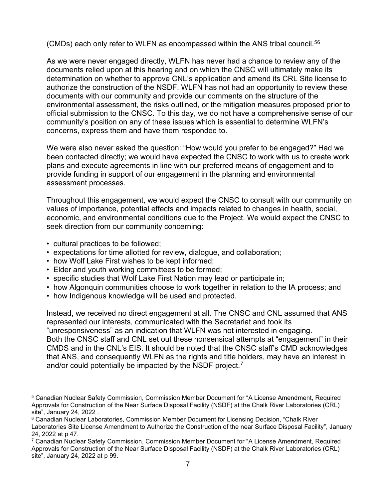(CMDs) each only refer to WLFN as encompassed within the ANS tribal council.[5](#page-7-0)[6](#page-7-1)

As we were never engaged directly, WLFN has never had a chance to review any of the documents relied upon at this hearing and on which the CNSC will ultimately make its determination on whether to approve CNL's application and amend its CRL Site license to authorize the construction of the NSDF. WLFN has not had an opportunity to review these documents with our community and provide our comments on the structure of the environmental assessment, the risks outlined, or the mitigation measures proposed prior to official submission to the CNSC. To this day, we do not have a comprehensive sense of our community's position on any of these issues which is essential to determine WLFN's concerns, express them and have them responded to.

We were also never asked the question: "How would you prefer to be engaged?" Had we been contacted directly; we would have expected the CNSC to work with us to create work plans and execute agreements in line with our preferred means of engagement and to provide funding in support of our engagement in the planning and environmental assessment processes.

Throughout this engagement, we would expect the CNSC to consult with our community on values of importance, potential effects and impacts related to changes in health, social, economic, and environmental conditions due to the Project. We would expect the CNSC to seek direction from our community concerning:

- cultural practices to be followed;
- expectations for time allotted for review, dialogue, and collaboration;
- how Wolf Lake First wishes to be kept informed;
- Elder and youth working committees to be formed;
- specific studies that Wolf Lake First Nation may lead or participate in;
- how Algonquin communities choose to work together in relation to the IA process; and
- how Indigenous knowledge will be used and protected.

Instead, we received no direct engagement at all. The CNSC and CNL assumed that ANS represented our interests, communicated with the Secretariat and took its "unresponsiveness" as an indication that WLFN was not interested in engaging. Both the CNSC staff and CNL set out these nonsensical attempts at "engagement" in their CMDS and in the CNL's EIS. It should be noted that the CNSC staff's CMD acknowledges that ANS, and consequently WLFN as the rights and title holders, may have an interest in and/or could potentially be impacted by the NSDF project.<sup>[7](#page-7-2)</sup>

<span id="page-7-0"></span><sup>5</sup> Canadian Nuclear Safety Commission, Commission Member Document for "A License Amendment, Required Approvals for Construction of the Near Surface Disposal Facility (NSDF) at the Chalk River Laboratories (CRL) site", January 24, 2022 .

<span id="page-7-1"></span><sup>6</sup> Canadian Nuclear Laboratories, Commission Member Document for Licensing Decision, "Chalk River Laboratories Site License Amendment to Authorize the Construction of the near Surface Disposal Facility", January 24, 2022 at p 47.

<span id="page-7-2"></span><sup>7</sup> Canadian Nuclear Safety Commission, Commission Member Document for "A License Amendment, Required Approvals for Construction of the Near Surface Disposal Facility (NSDF) at the Chalk River Laboratories (CRL) site", January 24, 2022 at p 99.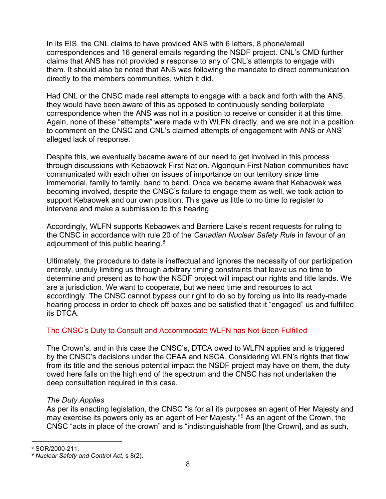In its EIS, the CNL claims to have provided ANS with 6 letters, 8 phone/email correspondences and 16 general emails regarding the NSDF project. CNL's CMD further claims that ANS has not provided a response to any of CNL's attempts to engage with them. It should also be noted that ANS was following the mandate to direct communication directly to the members communities, which it did.

Had CNL or the CNSC made real attempts to engage with a back and forth with the ANS, they would have been aware of this as opposed to continuously sending boilerplate correspondence when the ANS was not in a position to receive or consider it at this time. Again, none of these "attempts" were made with WLFN directly, and we are not in a position to comment on the CNSC and CNL's claimed attempts of engagement with ANS or ANS' alleged lack of response.

Despite this, we eventually became aware of our need to get involved in this process through discussions with Kebaowek First Nation. Algonquin First Nation communities have communicated with each other on issues of importance on our territory since time immemorial, family to family, band to band. Once we became aware that Kebaowek was becoming involved, despite the CNSC's failure to engage them as well, we took action to support Kebaowek and our own position. This gave us little to no time to register to intervene and make a submission to this hearing.

Accordingly, WLFN supports Kebaowek and Barriere Lake's recent requests for ruling to the CNSC in accordance with rule 20 of the *Canadian Nuclear Safety Rule* in favour of an adjournment of this public hearing. $^8$  $^8$ 

Ultimately, the procedure to date is ineffectual and ignores the necessity of our participation entirely, unduly limiting us through arbitrary timing constraints that leave us no time to determine and present as to how the NSDF project will impact our rights and title lands. We are a jurisdiction. We want to cooperate, but we need time and resources to act accordingly. The CNSC cannot bypass our right to do so by forcing us into its ready-made hearing process in order to check off boxes and be satisfied that it "engaged" us and fulfilled its DTCA.

## The CNSC's Duty to Consult and Accommodate WLFN has Not Been Fulfilled

The Crown's, and in this case the CNSC's, DTCA owed to WLFN applies and is triggered by the CNSC's decisions under the CEAA and NSCA. Considering WLFN's rights that flow from its title and the serious potential impact the NSDF project may have on them, the duty owed here falls on the high end of the spectrum and the CNSC has not undertaken the deep consultation required in this case.

## *The Duty Applies*

As per its enacting legislation, the CNSC "is for all its purposes an agent of Her Majesty and may exercise its powers only as an agent of Her Majesty.<sup>"[9](#page-8-1)</sup> As an agent of the Crown, the CNSC "acts in place of the crown" and is "indistinguishable from [the Crown], and as such,

<span id="page-8-0"></span><sup>8</sup> SOR/2000-211.

<span id="page-8-1"></span><sup>9</sup> *Nuclear Safety and Control Act*, s 8(2).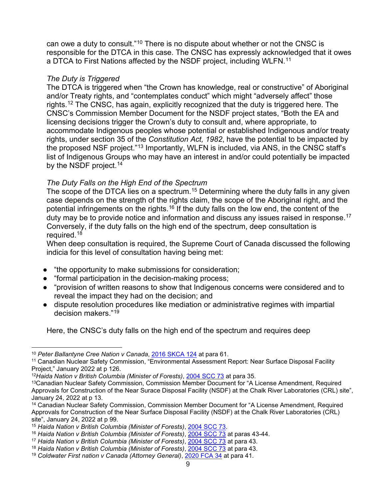can owe a duty to consult."[10](#page-9-0) There is no dispute about whether or not the CNSC is responsible for the DTCA in this case. The CNSC has expressly acknowledged that it owes a DTCA to First Nations affected by the NSDF project, including WLFN.<sup>[11](#page-9-1)</sup>

#### *The Duty is Triggered*

The DTCA is triggered when "the Crown has knowledge, real or constructive" of Aboriginal and/or Treaty rights, and "contemplates conduct" which might "adversely affect" those rights.[12](#page-9-2) The CNSC, has again, explicitly recognized that the duty is triggered here. The CNSC's Commission Member Document for the NSDF project states, "Both the EA and licensing decisions trigger the Crown's duty to consult and, where appropriate, to accommodate Indigenous peoples whose potential or established Indigenous and/or treaty rights, under section 35 of the *Constitution Act, 1982*, have the potential to be impacted by the proposed NSF project."[13](#page-9-3) Importantly, WLFN is included, via ANS, in the CNSC staff's list of Indigenous Groups who may have an interest in and/or could potentially be impacted by the NSDF project.<sup>[14](#page-9-4)</sup>

## *The Duty Falls on the High End of the Spectrum*

The scope of the DTCA lies on a spectrum.<sup>[15](#page-9-5)</sup> Determining where the duty falls in any given case depends on the strength of the rights claim, the scope of the Aboriginal right, and the potential infringements on the rights.<sup>[16](#page-9-6)</sup> If the duty falls on the low end, the content of the duty may be to provide notice and information and discuss any issues raised in response.<sup>[17](#page-9-7)</sup> Conversely, if the duty falls on the high end of the spectrum, deep consultation is required.<sup>18</sup>

When deep consultation is required, the Supreme Court of Canada discussed the following indicia for this level of consultation having being met:

- "the opportunity to make submissions for consideration;
- "formal participation in the decision-making process;
- "provision of written reasons to show that Indigenous concerns were considered and to reveal the impact they had on the decision; and
- dispute resolution procedures like mediation or administrative regimes with impartial decision makers<sup>["19](#page-9-9)</sup>

Here, the CNSC's duty falls on the high end of the spectrum and requires deep

<span id="page-9-0"></span><sup>10</sup> *Peter Ballantyne Cree Nation v Canada*, [2016 SKCA 124](https://www.canlii.org/en/sk/skca/doc/2016/2016skca124/2016skca124.html?autocompleteStr=peter%20ballan&autocompletePos=1) at para 61.

<span id="page-9-1"></span><sup>11</sup> Canadian Nuclear Safety Commission, "Environmental Assessment Report: Near Surface Disposal Facility Project," January 2022 at p 126.

<span id="page-9-2"></span><sup>12</sup>*Haida Nation v British Columbia (Minister of Forests)*, [2004 SCC 73](https://www.canlii.org/en/ca/scc/doc/2004/2004scc73/2004scc73.html?autocompleteStr=haida%20&autocompletePos=1) at para 35.

<span id="page-9-3"></span><sup>13</sup>Canadian Nuclear Safety Commission, Commission Member Document for "A License Amendment, Required Approvals for Construction of the Near Surace Disposal Facility (NSDF) at the Chalk River Laboratories (CRL) site", January 24, 2022 at p 13.

<span id="page-9-4"></span><sup>14</sup> Canadian Nuclear Safety Commission, Commission Member Document for "A License Amendment, Required Approvals for Construction of the Near Surface Disposal Facility (NSDF) at the Chalk River Laboratories (CRL) site", January 24, 2022 at p 99.<br><sup>15</sup> Haida Nation v British Columbia (Minister of Forests), 2004 SCC 73.

<span id="page-9-5"></span>

<span id="page-9-6"></span><sup>15</sup> *Haida Nation v British Columbia (Minister of Forests)*, [2004 SCC 73.](https://www.canlii.org/en/ca/scc/doc/2004/2004scc73/2004scc73.html?autocompleteStr=haida%20&autocompletePos=1) 16 *Haida Nation v British Columbia (Minister of Forests)*, [2004 SCC 73](https://www.canlii.org/en/ca/scc/doc/2004/2004scc73/2004scc73.html?autocompleteStr=haida%20&autocompletePos=1) at paras 43-44.

<span id="page-9-7"></span><sup>17</sup> *Haida Nation v British Columbia (Minister of Forests)*, [2004 SCC 73](https://www.canlii.org/en/ca/scc/doc/2004/2004scc73/2004scc73.html?autocompleteStr=haida%20&autocompletePos=1) at para 43.

<span id="page-9-8"></span><sup>18</sup> *Haida Nation v British Columbia (Minister of Forests)*, [2004 SCC 73](https://www.canlii.org/en/ca/scc/doc/2004/2004scc73/2004scc73.html?autocompleteStr=haida%20&autocompletePos=1) at para 43.

<span id="page-9-9"></span><sup>19</sup> *Coldwater First nation v Canada (Attorney General)*, [2020 FCA 34](https://www.canlii.org/en/ca/fca/doc/2020/2020fca34/2020fca34.html?autocompleteStr=coldwater%20&autocompletePos=1) at para 41.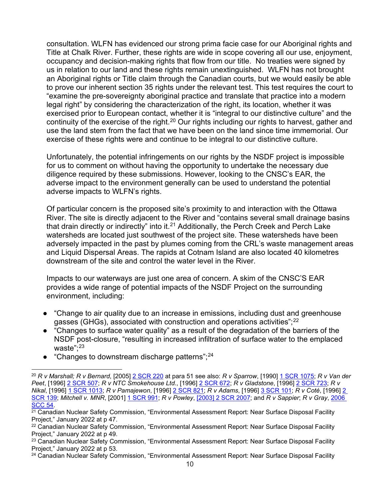consultation. WLFN has evidenced our strong prima facie case for our Aboriginal rights and Title at Chalk River. Further, these rights are wide in scope covering all our use, enjoyment, occupancy and decision-making rights that flow from our title. No treaties were signed by us in relation to our land and these rights remain unextinguished. WLFN has not brought an Aboriginal rights or Title claim through the Canadian courts, but we would easily be able to prove our inherent section 35 rights under the relevant test. This test requires the court to "examine the pre-sovereignty aboriginal practice and translate that practice into a modern legal right" by considering the characterization of the right, its location, whether it was exercised prior to European contact, whether it is "integral to our distinctive culture" and the continuity of the exercise of the right.<sup>[20](#page-10-0)</sup> Our rights including our rights to harvest, gather and use the land stem from the fact that we have been on the land since time immemorial. Our exercise of these rights were and continue to be integral to our distinctive culture.

Unfortunately, the potential infringements on our rights by the NSDF project is impossible for us to comment on without having the opportunity to undertake the necessary due diligence required by these submissions. However, looking to the CNSC's EAR, the adverse impact to the environment generally can be used to understand the potential adverse impacts to WLFN's rights.

Of particular concern is the proposed site's proximity to and interaction with the Ottawa River. The site is directly adjacent to the River and "contains several small drainage basins that drain directly or indirectly" into it.<sup>[21](#page-10-1)</sup> Additionally, the Perch Creek and Perch Lake watersheds are located just southwest of the project site. These watersheds have been adversely impacted in the past by plumes coming from the CRL's waste management areas and Liquid Dispersal Areas. The rapids at Cotnam Island are also located 40 kilometres downstream of the site and control the water level in the River.

Impacts to our waterways are just one area of concern. A skim of the CNSC'S EAR provides a wide range of potential impacts of the NSDF Project on the surrounding environment, including:

- "Change to air quality due to an increase in emissions, including dust and greenhouse gasses (GHGs), associated with construction and operations activities";<sup>[22](#page-10-2)</sup>
- "Changes to surface water quality" as a result of the degradation of the barriers of the NSDF post-closure, "resulting in increased infiltration of surface water to the emplaced waste": $23$
- "Changes to downstream discharge patterns"; $^{24}$  $^{24}$  $^{24}$

<span id="page-10-0"></span><sup>20</sup> *R v Marshall; R v Bernard*, [2005] [2 SCR 220](https://www.canlii.org/en/ca/scc/doc/2005/2005scc43/2005scc43.html?autocompleteStr=marshall&autocompletePos=4) at para 51 see also: *R v Sparrow*, [1990] [1 SCR 1075;](https://www.canlii.org/en/ca/scc/doc/1990/1990canlii104/1990canlii104.html?autocompleteStr=r%20v%20sparrow&autocompletePos=1) *R v Van der Peet*, [1996] [2 SCR 507;](https://www.canlii.org/en/ca/scc/doc/1996/1996canlii216/1996canlii216.html?autocompleteStr=r%20v%20van&autocompletePos=1) *R v NTC Smokehouse Ltd.*, [1996] [2 SCR 672;](https://www.canlii.org/en/ca/scc/doc/1996/1996canlii159/1996canlii159.html?autocompleteStr=r%20v%20ntc%20smo&autocompletePos=1) *R v Gladstone*, [1996] [2 SCR 723;](https://www.canlii.org/en/ca/scc/doc/1996/1996canlii160/1996canlii160.html?autocompleteStr=r%20v%20gladstone&autocompletePos=1) *R v Nikal*, [1996] [1 SCR 1013;](https://www.canlii.org/en/ca/scc/doc/1996/1996canlii245/1996canlii245.html?autocompleteStr=r%20v%20nika&autocompletePos=1) *R v Pamajewon*, [1996] [2 SCR 821;](https://www.canlii.org/en/ca/scc/doc/1996/1996canlii161/1996canlii161.html?autocompleteStr=r%20v%20pama&autocompletePos=1) *R v Adams*, [1996] [3 SCR 101;](https://www.canlii.org/en/ca/scc/doc/1996/1996canlii169/1996canlii169.html?autocompleteStr=r%20v%20adams&autocompletePos=2) *R v Coté*, [1996] [2](https://www.canlii.org/en/ca/scc/doc/1996/1996canlii170/1996canlii170.html?autocompleteStr=r%20v%20cote&autocompletePos=3)  [SCR 139;](https://www.canlii.org/en/ca/scc/doc/1996/1996canlii170/1996canlii170.html?autocompleteStr=r%20v%20cote&autocompletePos=3) *Mitchell v. MNR*, [2001] [1 SCR 991;](https://www.canlii.org/en/ca/scc/doc/2001/2001scc33/2001scc33.html?autocompleteStr=mitchell%20v%20&autocompletePos=2) *R v Powley*, [\[2003\] 2 SCR 2007;](https://www.canlii.org/en/ca/scc/doc/2003/2003scc43/2003scc43.html?autocompleteStr=r%20v%20powley&autocompletePos=1) and *R v Sappier*; *R v Gray*, [2006](https://www.canlii.org/en/ca/scc/doc/2006/2006scc54/2006scc54.html?autocompleteStr=r%20v%20sappier&autocompletePos=1) 

<span id="page-10-1"></span> $\frac{21}{21}$  Canadian Nuclear Safety Commission, "Environmental Assessment Report: Near Surface Disposal Facility Project," January 2022 at p 47.

<span id="page-10-2"></span><sup>22</sup> Canadian Nuclear Safety Commission, "Environmental Assessment Report: Near Surface Disposal Facility Project," January 2022 at p 49.

<span id="page-10-3"></span><sup>&</sup>lt;sup>23</sup> Canadian Nuclear Safety Commission, "Environmental Assessment Report: Near Surface Disposal Facility Project," January 2022 at p 53.

<span id="page-10-4"></span><sup>24</sup> Canadian Nuclear Safety Commission, "Environmental Assessment Report: Near Surface Disposal Facility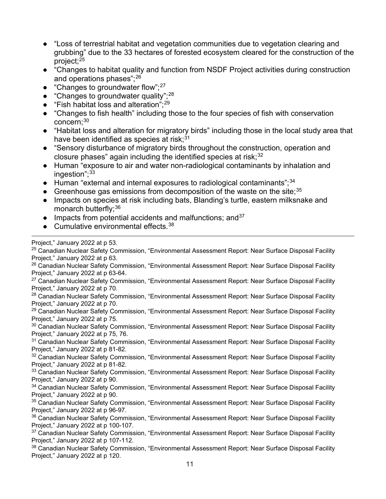- "Loss of terrestrial habitat and vegetation communities due to vegetation clearing and grubbing" due to the 33 hectares of forested ecosystem cleared for the construction of the project;[25](#page-11-0)
- "Changes to habitat quality and function from NSDF Project activities during construction and operations phases";[26](#page-11-1)
- "Changes to groundwater flow"; $^{27}$  $^{27}$  $^{27}$
- $\bullet$  "Changes to groundwater quality";<sup>[28](#page-11-3)</sup>
- "Fish habitat loss and alteration"; $^{29}$  $^{29}$  $^{29}$
- "Changes to fish health" including those to the four species of fish with conservation concern[;30](#page-11-5)
- "Habitat loss and alteration for migratory birds" including those in the local study area that have been identified as species at risk; $31$
- "Sensory disturbance of migratory birds throughout the construction, operation and closure phases" again including the identified species at risk; $32$
- Human "exposure to air and water non-radiological contaminants by inhalation and ingestion": $33$
- $\bullet$  Human "external and internal exposures to radiological contaminants";  $34$
- Greenhouse gas emissions from decomposition of the waste on the site:  $35$
- Impacts on species at risk including bats, Blanding's turtle, eastern milksnake and monarch butterfly; [36](#page-11-11)
- $\bullet$  Impacts from potential accidents and malfunctions; and  $37$
- $\bullet$  Cumulative environmental effects  $38$

Project," January 2022 at p 53.

<span id="page-11-13"></span><span id="page-11-12"></span><span id="page-11-11"></span><span id="page-11-10"></span><span id="page-11-9"></span><span id="page-11-8"></span><span id="page-11-7"></span><span id="page-11-6"></span><span id="page-11-5"></span><span id="page-11-4"></span><span id="page-11-3"></span><span id="page-11-2"></span><span id="page-11-1"></span><span id="page-11-0"></span>11 <sup>25</sup> Canadian Nuclear Safety Commission, "Environmental Assessment Report: Near Surface Disposal Facility Project," January 2022 at p 63. <sup>26</sup> Canadian Nuclear Safety Commission, "Environmental Assessment Report: Near Surface Disposal Facility Project," January 2022 at p 63-64. <sup>27</sup> Canadian Nuclear Safety Commission, "Environmental Assessment Report: Near Surface Disposal Facility Project," January 2022 at p 70. <sup>28</sup> Canadian Nuclear Safety Commission, "Environmental Assessment Report: Near Surface Disposal Facility Project," January 2022 at p 70. <sup>29</sup> Canadian Nuclear Safety Commission, "Environmental Assessment Report: Near Surface Disposal Facility Project," January 2022 at p 75. <sup>30</sup> Canadian Nuclear Safety Commission, "Environmental Assessment Report: Near Surface Disposal Facility Project," January 2022 at p 75, 76. <sup>31</sup> Canadian Nuclear Safety Commission, "Environmental Assessment Report: Near Surface Disposal Facility Project," January 2022 at p 81-82. <sup>32</sup> Canadian Nuclear Safety Commission, "Environmental Assessment Report: Near Surface Disposal Facility Project," January 2022 at p 81-82. 33 Canadian Nuclear Safety Commission, "Environmental Assessment Report: Near Surface Disposal Facility Project," January 2022 at p 90. <sup>34</sup> Canadian Nuclear Safety Commission, "Environmental Assessment Report: Near Surface Disposal Facility Project," January 2022 at p 90. <sup>35</sup> Canadian Nuclear Safety Commission, "Environmental Assessment Report: Near Surface Disposal Facility Project," January 2022 at p 96-97. <sup>36</sup> Canadian Nuclear Safety Commission, "Environmental Assessment Report: Near Surface Disposal Facility Project," January 2022 at p 100-107. <sup>37</sup> Canadian Nuclear Safety Commission, "Environmental Assessment Report: Near Surface Disposal Facility Project," January 2022 at p 107-112. <sup>38</sup> Canadian Nuclear Safety Commission, "Environmental Assessment Report: Near Surface Disposal Facility Project," January 2022 at p 120.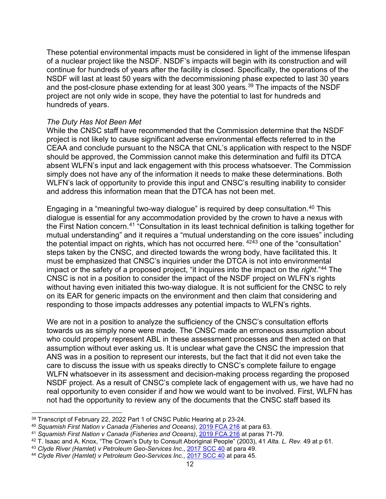These potential environmental impacts must be considered in light of the immense lifespan of a nuclear project like the NSDF. NSDF's impacts will begin with its construction and will continue for hundreds of years after the facility is closed. Specifically, the operations of the NSDF will last at least 50 years with the decommissioning phase expected to last 30 years and the post-closure phase extending for at least 300 years.[39](#page-12-0) The impacts of the NSDF project are not only wide in scope, they have the potential to last for hundreds and hundreds of years.

#### *The Duty Has Not Been Met*

While the CNSC staff have recommended that the Commission determine that the NSDF project is not likely to cause significant adverse environmental effects referred to in the CEAA and conclude pursuant to the NSCA that CNL's application with respect to the NSDF should be approved, the Commission cannot make this determination and fulfil its DTCA absent WLFN's input and lack engagement with this process whatsoever. The Commission simply does not have any of the information it needs to make these determinations. Both WLFN's lack of opportunity to provide this input and CNSC's resulting inability to consider and address this information mean that the DTCA has not been met.

Engaging in a "meaningful two-way dialogue" is required by deep consultation.[40](#page-12-1) This dialogue is essential for any accommodation provided by the crown to have a nexus with the First Nation concern.[41](#page-12-2) "Consultation in its least technical definition is talking together for mutual understanding" and it requires a "mutual understanding on the core issues" including the potential impact on rights, which has not occurred here.  $42\overline{4}3$  $42\overline{4}3$  one of the "consultation" steps taken by the CNSC, and directed towards the wrong body, have facilitated this. It must be emphasized that CNSC's inquiries under the DTCA is not into environmental impact or the safety of a proposed project, "it inquires into the impact on the *right*."[44](#page-12-5) The CNSC is not in a position to consider the impact of the NSDF project on WLFN's rights without having even initiated this two-way dialogue. It is not sufficient for the CNSC to rely on its EAR for generic impacts on the environment and then claim that considering and responding to those impacts addresses any potential impacts to WLFN's rights.

We are not in a position to analyze the sufficiency of the CNSC's consultation efforts towards us as simply none were made. The CNSC made an erroneous assumption about who could properly represent ABL in these assessment processes and then acted on that assumption without ever asking us. It is unclear what gave the CNSC the impression that ANS was in a position to represent our interests, but the fact that it did not even take the care to discuss the issue with us speaks directly to CNSC's complete failure to engage WLFN whatsoever in its assessment and decision-making process regarding the proposed NSDF project. As a result of CNSC's complete lack of engagement with us, we have had no real opportunity to even consider if and how we would want to be involved. First, WLFN has not had the opportunity to review any of the documents that the CNSC staff based its

<span id="page-12-0"></span><sup>39</sup> Transcript of February 22, 2022 Part 1 of CNSC Public Hearing at p 23-24.

<span id="page-12-1"></span><sup>40</sup> *Squamish First Nation v Canada (Fisheries and Oceans)*, [2019 FCA 216](https://www.canlii.org/en/ca/fca/doc/2019/2019fca216/2019fca216.html?autocompleteStr=squamish%20first%20n&autocompletePos=1) at para 63.

<span id="page-12-2"></span><sup>41</sup> *Squamish First Nation v Canada (Fisheries and Oceans)*, [2019 FCA 216](https://www.canlii.org/en/ca/fca/doc/2019/2019fca216/2019fca216.html?autocompleteStr=squamish%20first%20n&autocompletePos=1) at paras 71-79.

<span id="page-12-3"></span><sup>42</sup> T. Isaac and A. Knox, "The Crown's Duty to Consult Aboriginal People" (2003), 41 *Alta. L. Rev.* 49 at p 61.

<span id="page-12-4"></span><sup>43</sup> *Clyde River (Hamlet) v Petroleum Geo-Services Inc.*, [2017 SCC 40](https://www.canlii.org/en/ca/scc/doc/2017/2017scc40/2017scc40.html?autocompleteStr=clyde%20ri&autocompletePos=1) at para 49.

<span id="page-12-5"></span><sup>44</sup> *Clyde River (Hamlet) v Petroleum Geo-Services Inc.*, [2017 SCC 40](https://www.canlii.org/en/ca/scc/doc/2017/2017scc40/2017scc40.html?autocompleteStr=clyde%20ri&autocompletePos=1) at para 45.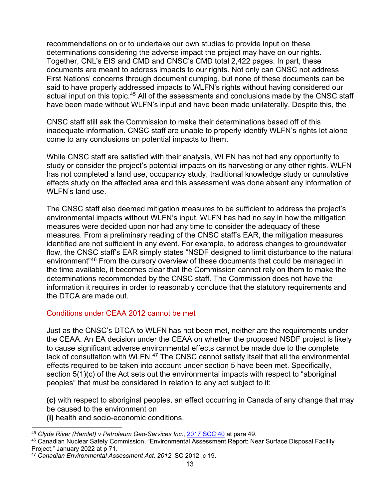recommendations on or to undertake our own studies to provide input on these determinations considering the adverse impact the project may have on our rights. Together, CNL's EIS and CMD and CNSC's CMD total 2,422 pages. In part, these documents are meant to address impacts to our rights. Not only can CNSC not address First Nations' concerns through document dumping, but none of these documents can be said to have properly addressed impacts to WLFN's rights without having considered our actual input on this topic.<sup>[45](#page-13-0)</sup> All of the assessments and conclusions made by the CNSC staff have been made without WLFN's input and have been made unilaterally. Despite this, the

CNSC staff still ask the Commission to make their determinations based off of this inadequate information. CNSC staff are unable to properly identify WLFN's rights let alone come to any conclusions on potential impacts to them.

While CNSC staff are satisfied with their analysis, WLFN has not had any opportunity to study or consider the project's potential impacts on its harvesting or any other rights. WLFN has not completed a land use, occupancy study, traditional knowledge study or cumulative effects study on the affected area and this assessment was done absent any information of WLFN's land use.

The CNSC staff also deemed mitigation measures to be sufficient to address the project's environmental impacts without WLFN's input. WLFN has had no say in how the mitigation measures were decided upon nor had any time to consider the adequacy of these measures. From a preliminary reading of the CNSC staff's EAR, the mitigation measures identified are not sufficient in any event. For example, to address changes to groundwater flow, the CNSC staff's EAR simply states "NSDF designed to limit disturbance to the natural environment["46](#page-13-1) From the cursory overview of these documents that could be managed in the time available, it becomes clear that the Commission cannot rely on them to make the determinations recommended by the CNSC staff. The Commission does not have the information it requires in order to reasonably conclude that the statutory requirements and the DTCA are made out.

## Conditions under CEAA 2012 cannot be met

Just as the CNSC's DTCA to WLFN has not been met, neither are the requirements under the CEAA. An EA decision under the CEAA on whether the proposed NSDF project is likely to cause significant adverse environmental effects cannot be made due to the complete lack of consultation with WLFN.<sup>[47](#page-13-2)</sup> The CNSC cannot satisfy itself that all the environmental effects required to be taken into account under section 5 have been met. Specifically, section 5(1)(c) of the Act sets out the environmental impacts with respect to "aboriginal peoples" that must be considered in relation to any act subject to it:

**(c)** with respect to aboriginal peoples, an effect occurring in Canada of any change that may be caused to the environment on **(i)** health and socio-economic conditions,

<span id="page-13-0"></span><sup>45</sup> *Clyde River (Hamlet) v Petroleum Geo-Services Inc.*, [2017 SCC 40](https://www.canlii.org/en/ca/scc/doc/2017/2017scc40/2017scc40.html?autocompleteStr=clyde%20ri&autocompletePos=1) at para 49.

<span id="page-13-1"></span><sup>46</sup> Canadian Nuclear Safety Commission, "Environmental Assessment Report: Near Surface Disposal Facility Project," January 2022 at p 71.

<span id="page-13-2"></span><sup>47</sup> *Canadian Environmental Assessment Act, 2012*, SC 2012, c 19.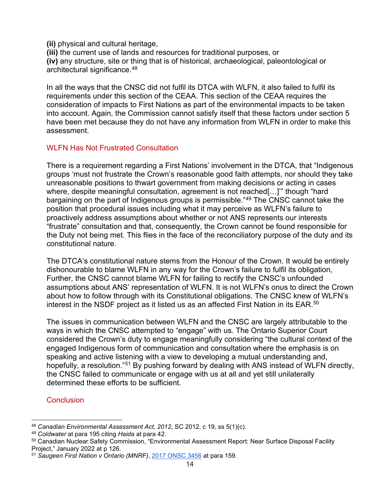**(ii)** physical and cultural heritage,

**(iii)** the current use of lands and resources for traditional purposes, or **(iv)** any structure, site or thing that is of historical, archaeological, paleontological or architectural significance.<sup>[48](#page-14-0)</sup>

In all the ways that the CNSC did not fulfil its DTCA with WLFN, it also failed to fulfil its requirements under this section of the CEAA. This section of the CEAA requires the consideration of impacts to First Nations as part of the environmental impacts to be taken into account. Again, the Commission cannot satisfy itself that these factors under section 5 have been met because they do not have any information from WLFN in order to make this assessment.

#### WLFN Has Not Frustrated Consultation

There is a requirement regarding a First Nations' involvement in the DTCA, that "Indigenous groups 'must not frustrate the Crown's reasonable good faith attempts, nor should they take unreasonable positions to thwart government from making decisions or acting in cases where, despite meaningful consultation, agreement is not reached[…]'" though "hard bargaining on the part of Indigenous groups is permissible."<sup>[49](#page-14-1)</sup> The CNSC cannot take the position that procedural issues including what it may perceive as WLFN's failure to proactively address assumptions about whether or not ANS represents our interests "frustrate" consultation and that, consequently, the Crown cannot be found responsible for the Duty not being met. This flies in the face of the reconciliatory purpose of the duty and its constitutional nature.

The DTCA's constitutional nature stems from the Honour of the Crown. It would be entirely dishonourable to blame WLFN in any way for the Crown's failure to fulfil its obligation, Further, the CNSC cannot blame WLFN for failing to rectify the CNSC's unfounded assumptions about ANS' representation of WLFN. It is not WLFN's onus to direct the Crown about how to follow through with its Constitutional obligations. The CNSC knew of WLFN's interest in the NSDF project as it listed us as an affected First Nation in its EAR.<sup>[50](#page-14-2)</sup>

The issues in communication between WLFN and the CNSC are largely attributable to the ways in which the CNSC attempted to "engage" with us. The Ontario Superior Court considered the Crown's duty to engage meaningfully considering "the cultural context of the engaged Indigenous form of communication and consultation where the emphasis is on speaking and active listening with a view to developing a mutual understanding and, hopefully, a resolution."<sup>[51](#page-14-3)</sup> By pushing forward by dealing with ANS instead of WLFN directly, the CNSC failed to communicate or engage with us at all and yet still unilaterally determined these efforts to be sufficient.

#### **Conclusion**

<span id="page-14-0"></span><sup>48</sup> *Canadian Environmental Assessment Act, 2012*, SC 2012, c 19, ss 5(1)(c).

<span id="page-14-1"></span><sup>49</sup> *Coldwater* at para 195 citing *Haida* at para 42.

<span id="page-14-2"></span><sup>50</sup> Canadian Nuclear Safety Commission, "Environmental Assessment Report: Near Surface Disposal Facility Project," January 2022 at p 126.

<span id="page-14-3"></span><sup>51</sup> *Saugeen First Nation v Ontario (MNRF)*[,](https://www.canlii.org/en/on/onscdc/doc/2017/2017onsc3456/2017onsc3456.html?autocompleteStr=saugeen%20o&autocompletePos=1) [2017 ONSC 3456](https://www.canlii.org/en/on/onscdc/doc/2017/2017onsc3456/2017onsc3456.html?autocompleteStr=saugeen%20o&autocompletePos=1) at para 159.